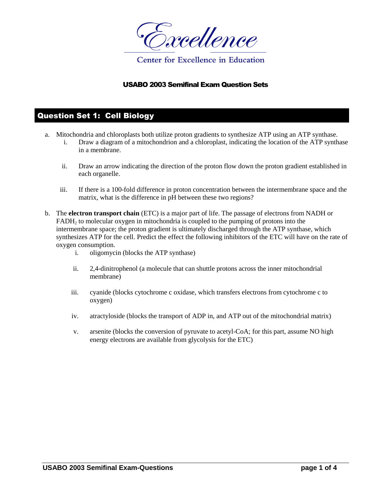

#### USABO 2003 Semifinal Exam Question Sets

### Question Set 1: Cell Biology

- a. Mitochondria and chloroplasts both utilize proton gradients to synthesize ATP using an ATP synthase.
	- i. Draw a diagram of a mitochondrion and a chloroplast, indicating the location of the ATP synthase in a membrane.
	- ii. Draw an arrow indicating the direction of the proton flow down the proton gradient established in each organelle.
	- iii. If there is a 100-fold difference in proton concentration between the intermembrane space and the matrix, what is the difference in pH between these two regions?
- b. The **electron transport chain** (ETC) is a major part of life. The passage of electrons from NADH or  $FADH<sub>2</sub>$  to molecular oxygen in mitochondria is coupled to the pumping of protons into the intermembrane space; the proton gradient is ultimately discharged through the ATP synthase, which synthesizes ATP for the cell. Predict the effect the following inhibitors of the ETC will have on the rate of oxygen consumption.
	- i. oligomycin (blocks the ATP synthase)
	- ii. 2,4-dinitrophenol (a molecule that can shuttle protons across the inner mitochondrial membrane)
	- iii. cyanide (blocks cytochrome c oxidase, which transfers electrons from cytochrome c to oxygen)
	- iv. atractyloside (blocks the transport of ADP in, and ATP out of the mitochondrial matrix)
	- v. arsenite (blocks the conversion of pyruvate to acetyl-CoA; for this part, assume NO high energy electrons are available from glycolysis for the ETC)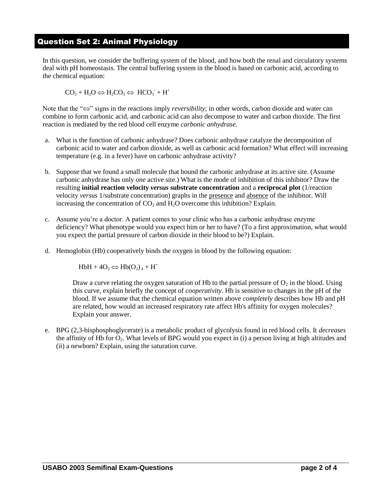### Question Set 2: Animal Physiology

In this question, we consider the buffering system of the blood, and how both the renal and circulatory systems deal with pH homeostasis. The central buffering system in the blood is based on carbonic acid, according to the chemical equation:

 $CO_2 + H_2O \Leftrightarrow H_2CO_3 \Leftrightarrow HCO_3 + H^+$ 

Note that the " $\Leftrightarrow$ " signs in the reactions imply *reversibility*; in other words, carbon dioxide and water can combine to form carbonic acid, and carbonic acid can also decompose to water and carbon dioxide. The first reaction is mediated by the red blood cell enzyme *carbonic anhydrase*.

- a. What is the function of carbonic anhydrase? Does carbonic anhydrase catalyze the decomposition of carbonic acid to water and carbon dioxide, as well as carbonic acid formation? What effect will increasing temperature (e.g. in a fever) have on carbonic anhydrase activity?
- b. Suppose that we found a small molecule that bound the carbonic anhydrase at its active site. (Assume carbonic anhydrase has only *one* active site.) What is the mode of inhibition of this inhibitor? Draw the resulting **initial reaction velocity** *versus* **substrate concentration** and a **reciprocal plot** (1/reaction velocity *versus* 1/substrate concentration) graphs in the presence and absence of the inhibitor. Will increasing the concentration of  $CO<sub>2</sub>$  and  $H<sub>2</sub>O$  overcome this inhibition? Explain.
- c. Assume you're a doctor. A patient comes to your clinic who has a carbonic anhydrase enzyme deficiency? What phenotype would you expect him or her to have? (To a first approximation, what would you expect the partial pressure of carbon dioxide in their blood to be?) Explain.
- d. Hemoglobin (Hb) cooperatively binds the oxygen in blood by the following equation:

 $HbH + 4O_2 \Leftrightarrow Hb(O_2)_4 + H^+$ 

Draw a curve relating the oxygen saturation of Hb to the partial pressure of  $O<sub>2</sub>$  in the blood. Using this curve, explain briefly the concept of *cooperativity*. Hb is sensitive to changes in the pH of the blood. If we assume that the chemical equation written above *completely* describes how Hb and pH are related, how would an increased respiratory rate affect Hb's affinity for oxygen molecules? Explain your answer.

e. BPG (2,3-bisphosphoglycerate) is a metabolic product of glycolysis found in red blood cells. It *decreases* the affinity of Hb for  $O_2$ . What levels of BPG would you expect in (i) a person living at high altitudes and (ii) a newborn? Explain, using the saturation curve.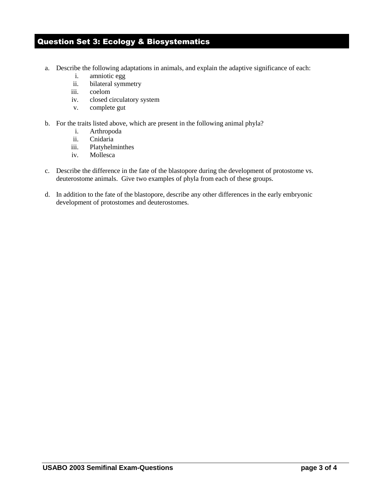# Question Set 3: Ecology & Biosystematics

- a. Describe the following adaptations in animals, and explain the adaptive significance of each:
	- i. amniotic egg
	- ii. bilateral symmetry
	- iii. coelom
	- iv. closed circulatory system
	- v. complete gut
- b. For the traits listed above, which are present in the following animal phyla?
	- i. Arthropoda
	- ii. Cnidaria
	- iii. Platyhelminthes
	- iv. Mollesca
- c. Describe the difference in the fate of the blastopore during the development of protostome vs. deuterostome animals. Give two examples of phyla from each of these groups.
- d. In addition to the fate of the blastopore, describe any other differences in the early embryonic development of protostomes and deuterostomes.